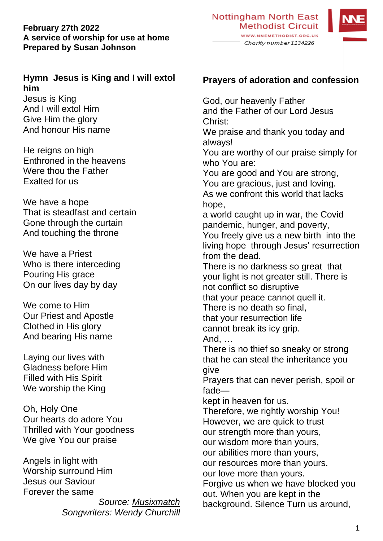#### **February 27th 2022 A service of worship for use at home Prepared by Susan Johnson**

## **Hymn Jesus is King and I will extol him**

Jesus is King And I will extol Him Give Him the glory And honour His name

He reigns on high Enthroned in the heavens Were thou the Father Exalted for us

We have a hope That is steadfast and certain Gone through the curtain And touching the throne

We have a Priest Who is there interceding Pouring His grace On our lives day by day

We come to Him Our Priest and Apostle Clothed in His glory And bearing His name

Laying our lives with Gladness before Him Filled with His Spirit We worship the King

Oh, Holy One Our hearts do adore You Thrilled with Your goodness We give You our praise

Angels in light with Worship surround Him Jesus our Saviour Forever the same

> *Source: [Musixmatch](https://www.musixmatch.com/) Songwriters: Wendy Churchill*

# **Prayers of adoration and confession**

God, our heavenly Father and the Father of our Lord Jesus Christ: We praise and thank you today and always! You are worthy of our praise simply for who You are: You are good and You are strong, You are gracious, just and loving. As we confront this world that lacks hope, a world caught up in war, the Covid pandemic, hunger, and poverty, You freely give us a new birth into the living hope through Jesus' resurrection from the dead. There is no darkness so great that your light is not greater still. There is not conflict so disruptive that your peace cannot quell it. There is no death so final, that your resurrection life cannot break its icy grip. And, … There is no thief so sneaky or strong that he can steal the inheritance you give Prayers that can never perish, spoil or fade kept in heaven for us. Therefore, we rightly worship You! However, we are quick to trust our strength more than yours, our wisdom more than yours, our abilities more than yours, our resources more than yours. our love more than yours. Forgive us when we have blocked you out. When you are kept in the background. Silence Turn us around,



WWW.NNEMETHODIST.ORG.UK Charity number 1134226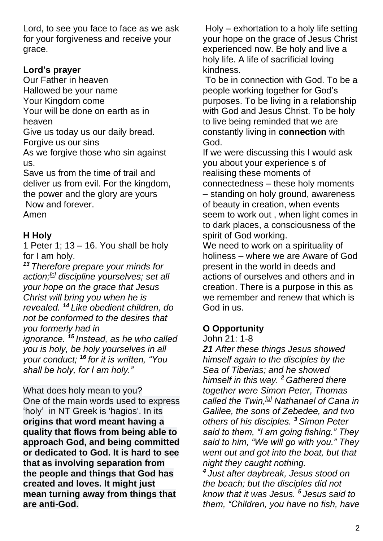Lord, to see you face to face as we ask for your forgiveness and receive your grace.

## **Lord's prayer**

Our Father in heaven Hallowed be your name Your Kingdom come Your will be done on earth as in heaven Give us today us our daily bread. Forgive us our sins As we forgive those who sin against us.

Save us from the time of trail and deliver us from evil. For the kingdom, the power and the glory are yours Now and forever. Amen

# **H Holy**

1 Peter 1;  $13 - 16$ . You shall be holy for I am holy.

*<sup>13</sup> Therefore prepare your minds for action;[\[c\]](https://www.biblegateway.com/passage/?search=1%20Peter%201&version=NRSV#fen-NRSV-30370c) discipline yourselves; set all your hope on the grace that Jesus Christ will bring you when he is revealed. <sup>14</sup> Like obedient children, do not be conformed to the desires that you formerly had in ignorance. <sup>15</sup> Instead, as he who called you is holy, be holy yourselves in all your conduct; <sup>16</sup> for it is written, "You shall be holy, for I am holy."*

What does holy mean to you? One of the main words used to express 'holy' in NT Greek is 'hagios'. In its **origins that word meant having a quality that flows from being able to approach God, and being committed or dedicated to God. It is hard to see that as involving separation from the people and things that God has created and loves. It might just mean turning away from things that are anti-God.**

Holy – exhortation to a holy life setting your hope on the grace of Jesus Christ experienced now. Be holy and live a holy life. A life of sacrificial loving kindness.

To be in connection with God. To be a people working together for God's purposes. To be living in a relationship with God and Jesus Christ. To be holy to live being reminded that we are constantly living in **connection** with God.

If we were discussing this I would ask you about your experience s of realising these moments of connectedness – these holy moments – standing on holy ground, awareness of beauty in creation, when events seem to work out , when light comes in to dark places, a consciousness of the spirit of God working.

We need to work on a spirituality of holiness – where we are Aware of God present in the world in deeds and actions of ourselves and others and in creation. There is a purpose in this as we remember and renew that which is God in us.

## **O Opportunity**

### John 21: 1-8

*21 After these things Jesus showed himself again to the disciples by the Sea of Tiberias; and he showed himself in this way. <sup>2</sup> Gathered there together were Simon Peter, Thomas called the Twin,[\[a\]](https://www.biblegateway.com/passage/?search=John+21%3A1-8&version=NRSV#fen-NRSV-26890a) Nathanael of Cana in Galilee, the sons of Zebedee, and two others of his disciples. <sup>3</sup> Simon Peter said to them, "I am going fishing." They said to him, "We will go with you." They went out and got into the boat, but that night they caught nothing.*

*4 Just after daybreak, Jesus stood on the beach; but the disciples did not know that it was Jesus. <sup>5</sup> Jesus said to them, "Children, you have no fish, have*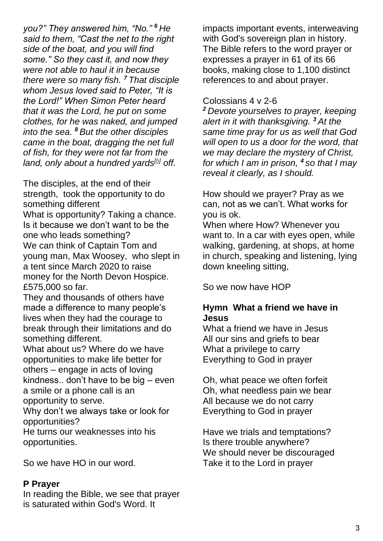*you?" They answered him, "No." <sup>6</sup> He said to them, "Cast the net to the right side of the boat, and you will find some." So they cast it, and now they were not able to haul it in because there were so many fish. <sup>7</sup> That disciple whom Jesus loved said to Peter, "It is the Lord!" When Simon Peter heard that it was the Lord, he put on some clothes, for he was naked, and jumped into the sea. <sup>8</sup> But the other disciples came in the boat, dragging the net full of fish, for they were not far from the land, only about a hundred yards[\[b\]](https://www.biblegateway.com/passage/?search=John+21%3A1-8&version=NRSV#fen-NRSV-26896b) off.*

The disciples, at the end of their strength, took the opportunity to do something different What is opportunity? Taking a chance. Is it because we don't want to be the one who leads something? We can think of Captain Tom and young man, Max Woosey, who slept in a tent since March 2020 to raise money for the North Devon Hospice. £575,000 so far.

They and thousands of others have made a difference to many people's lives when they had the courage to break through their limitations and do something different.

What about us? Where do we have opportunities to make life better for others – engage in acts of loving kindness.. don't have to be big – even a smile or a phone call is an opportunity to serve.

Why don't we always take or look for opportunities?

He turns our weaknesses into his opportunities.

So we have HO in our word.

#### **P Prayer**

In reading the Bible, we see that prayer is saturated within God's Word. It

impacts important events, interweaving with God's sovereign plan in history. The Bible refers to the word prayer or expresses a prayer in 61 of its 66 books, making close to 1,100 distinct references to and about prayer.

### Colossians 4 v 2-6

*<sup>2</sup> Devote yourselves to prayer, keeping alert in it with thanksgiving. <sup>3</sup> At the same time pray for us as well that God will open to us a door for the word, that we may declare the mystery of Christ, for which I am in prison, <sup>4</sup> so that I may reveal it clearly, as I should.*

How should we prayer? Pray as we can, not as we can't. What works for you is ok.

When where How? Whenever you want to. In a car with eyes open, while walking, gardening, at shops, at home in church, speaking and listening, lying down kneeling sitting,

So we now have HOP

## **Hymn What a friend we have in Jesus**

What a friend we have in Jesus All our sins and griefs to bear What a privilege to carry Everything to God in prayer

Oh, what peace we often forfeit Oh, what needless pain we bear All because we do not carry Everything to God in prayer

Have we trials and temptations? Is there trouble anywhere? We should never be discouraged Take it to the Lord in prayer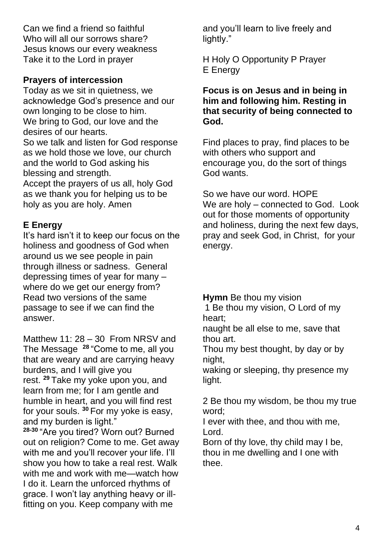Can we find a friend so faithful Who will all our sorrows share? Jesus knows our every weakness Take it to the Lord in prayer

## **Prayers of intercession**

Today as we sit in quietness, we acknowledge God's presence and our own longing to be close to him. We bring to God, our love and the desires of our hearts. So we talk and listen for God response as we hold those we love, our church and the world to God asking his blessing and strength. Accept the prayers of us all, holy God

as we thank you for helping us to be holy as you are holy. Amen

# **E Energy**

It's hard isn't it to keep our focus on the holiness and goodness of God when around us we see people in pain through illness or sadness. General depressing times of year for many – where do we get our energy from? Read two versions of the same passage to see if we can find the answer.

Matthew 11: 28 – 30 From NRSV and The Message **<sup>28</sup>** "Come to me, all you that are weary and are carrying heavy burdens, and I will give you rest. **<sup>29</sup>** Take my yoke upon you, and learn from me; for I am gentle and humble in heart, and you will find rest for your souls. **<sup>30</sup>** For my yoke is easy, and my burden is light."

**28-30** "Are you tired? Worn out? Burned out on religion? Come to me. Get away with me and you'll recover your life. I'll show you how to take a real rest. Walk with me and work with me—watch how I do it. Learn the unforced rhythms of grace. I won't lay anything heavy or illfitting on you. Keep company with me

and you'll learn to live freely and lightly."

H Holy O Opportunity P Prayer E Energy

### **Focus is on Jesus and in being in him and following him. Resting in that security of being connected to God.**

Find places to pray, find places to be with others who support and encourage you, do the sort of things God wants.

So we have our word. HOPE We are holy – connected to God. Look out for those moments of opportunity and holiness, during the next few days, pray and seek God, in Christ, for your energy.

**Hymn** Be thou my vision

1 Be thou my vision, O Lord of my heart;

naught be all else to me, save that thou art.

Thou my best thought, by day or by night,

waking or sleeping, thy presence my light.

2 Be thou my wisdom, be thou my true word;

I ever with thee, and thou with me, Lord.

Born of thy love, thy child may I be, thou in me dwelling and I one with thee.